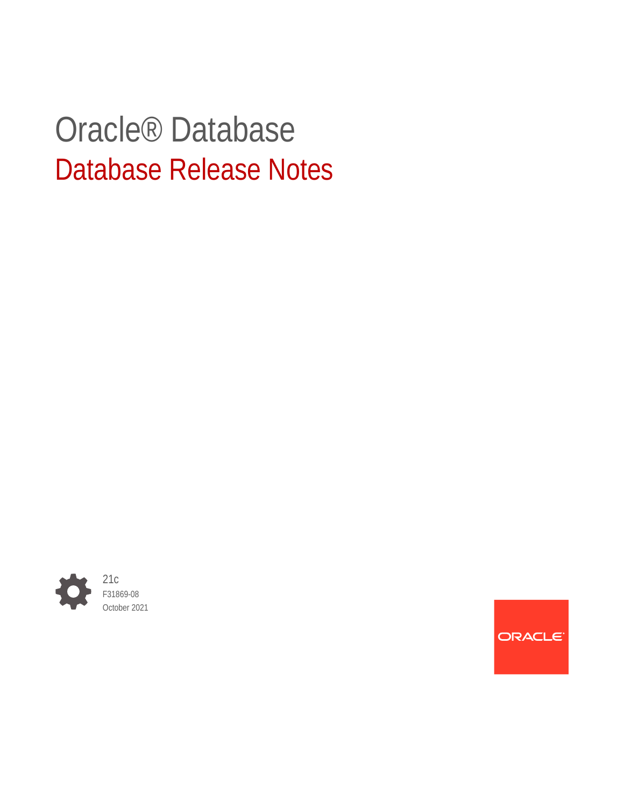# Oracle® Database Database Release Notes



**ORACLE**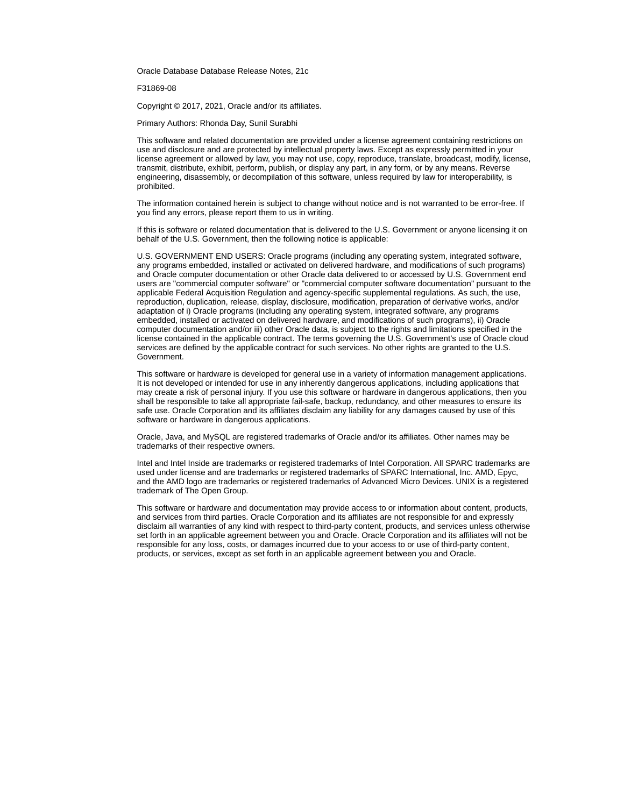Oracle Database Database Release Notes, 21c

F31869-08

Copyright © 2017, 2021, Oracle and/or its affiliates.

Primary Authors: Rhonda Day, Sunil Surabhi

This software and related documentation are provided under a license agreement containing restrictions on use and disclosure and are protected by intellectual property laws. Except as expressly permitted in your license agreement or allowed by law, you may not use, copy, reproduce, translate, broadcast, modify, license, transmit, distribute, exhibit, perform, publish, or display any part, in any form, or by any means. Reverse engineering, disassembly, or decompilation of this software, unless required by law for interoperability, is prohibited.

The information contained herein is subject to change without notice and is not warranted to be error-free. If you find any errors, please report them to us in writing.

If this is software or related documentation that is delivered to the U.S. Government or anyone licensing it on behalf of the U.S. Government, then the following notice is applicable:

U.S. GOVERNMENT END USERS: Oracle programs (including any operating system, integrated software, any programs embedded, installed or activated on delivered hardware, and modifications of such programs) and Oracle computer documentation or other Oracle data delivered to or accessed by U.S. Government end users are "commercial computer software" or "commercial computer software documentation" pursuant to the applicable Federal Acquisition Regulation and agency-specific supplemental regulations. As such, the use, reproduction, duplication, release, display, disclosure, modification, preparation of derivative works, and/or adaptation of i) Oracle programs (including any operating system, integrated software, any programs embedded, installed or activated on delivered hardware, and modifications of such programs), ii) Oracle computer documentation and/or iii) other Oracle data, is subject to the rights and limitations specified in the license contained in the applicable contract. The terms governing the U.S. Government's use of Oracle cloud services are defined by the applicable contract for such services. No other rights are granted to the U.S. Government.

This software or hardware is developed for general use in a variety of information management applications. It is not developed or intended for use in any inherently dangerous applications, including applications that may create a risk of personal injury. If you use this software or hardware in dangerous applications, then you shall be responsible to take all appropriate fail-safe, backup, redundancy, and other measures to ensure its safe use. Oracle Corporation and its affiliates disclaim any liability for any damages caused by use of this software or hardware in dangerous applications.

Oracle, Java, and MySQL are registered trademarks of Oracle and/or its affiliates. Other names may be trademarks of their respective owners.

Intel and Intel Inside are trademarks or registered trademarks of Intel Corporation. All SPARC trademarks are used under license and are trademarks or registered trademarks of SPARC International, Inc. AMD, Epyc, and the AMD logo are trademarks or registered trademarks of Advanced Micro Devices. UNIX is a registered trademark of The Open Group.

This software or hardware and documentation may provide access to or information about content, products, and services from third parties. Oracle Corporation and its affiliates are not responsible for and expressly disclaim all warranties of any kind with respect to third-party content, products, and services unless otherwise set forth in an applicable agreement between you and Oracle. Oracle Corporation and its affiliates will not be responsible for any loss, costs, or damages incurred due to your access to or use of third-party content, products, or services, except as set forth in an applicable agreement between you and Oracle.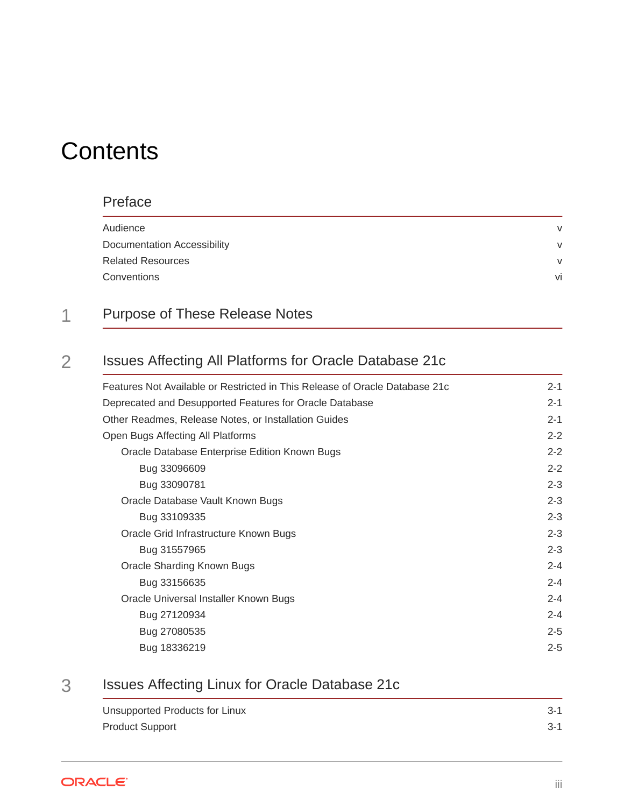# **Contents**

### [Preface](#page-4-0)

| Audience                           | $\mathsf{V}$ |
|------------------------------------|--------------|
| <b>Documentation Accessibility</b> | $\vee$       |
| <b>Related Resources</b>           | $\mathsf{V}$ |
| Conventions                        | vi           |
|                                    |              |

# 1 [Purpose of These Release Notes](#page-6-0)

## 2 [Issues Affecting All Platforms for Oracle Database 21c](#page-7-0)

| Features Not Available or Restricted in This Release of Oracle Database 21c | $2 - 1$ |
|-----------------------------------------------------------------------------|---------|
| Deprecated and Desupported Features for Oracle Database                     | $2 - 1$ |
| Other Readmes, Release Notes, or Installation Guides                        | $2 - 1$ |
| Open Bugs Affecting All Platforms                                           | $2 - 2$ |
| Oracle Database Enterprise Edition Known Bugs                               | $2 - 2$ |
| Bug 33096609                                                                | $2 - 2$ |
| Bug 33090781                                                                | $2 - 3$ |
| Oracle Database Vault Known Bugs                                            | $2 - 3$ |
| Bug 33109335                                                                | $2 - 3$ |
| Oracle Grid Infrastructure Known Bugs                                       | $2 - 3$ |
| Bug 31557965                                                                | $2 - 3$ |
| Oracle Sharding Known Bugs                                                  | $2 - 4$ |
| Bug 33156635                                                                | $2 - 4$ |
| Oracle Universal Installer Known Bugs                                       | $2 - 4$ |
| Bug 27120934                                                                | $2 - 4$ |
| Bug 27080535                                                                | $2 - 5$ |
| Bug 18336219                                                                | $2 - 5$ |

## 3 [Issues Affecting Linux for Oracle Database 21c](#page-12-0)

| Unsupported Products for Linux | $3 - 1$ |
|--------------------------------|---------|
| <b>Product Support</b>         | $3-1$   |

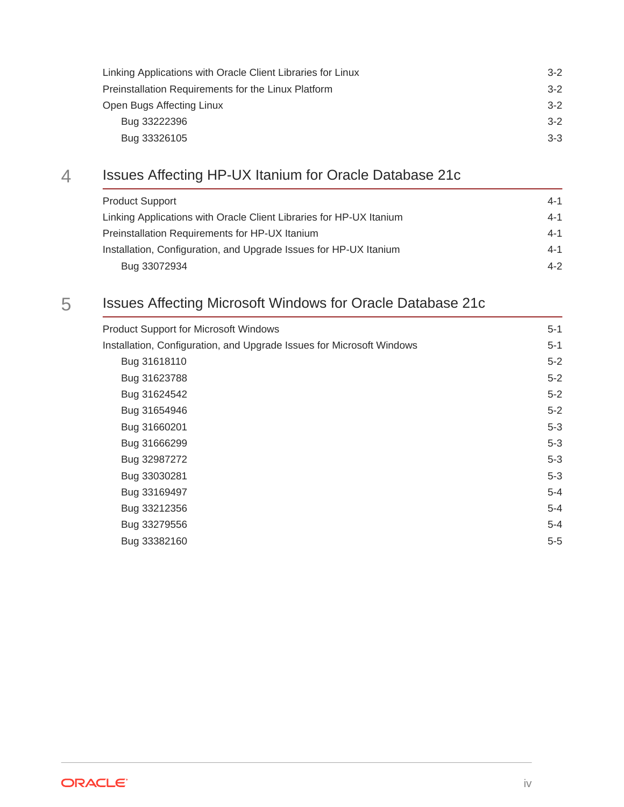| Linking Applications with Oracle Client Libraries for Linux | $3-2$ |
|-------------------------------------------------------------|-------|
| Preinstallation Requirements for the Linux Platform         | $3-2$ |
| Open Bugs Affecting Linux                                   | $3-2$ |
| Bug 33222396                                                | $3-2$ |
| Bug 33326105                                                | $3-3$ |

# 4 [Issues Affecting HP-UX Itanium for Oracle Database 21c](#page-15-0)

| <b>Product Support</b>                                              | $4 - 1$ |
|---------------------------------------------------------------------|---------|
| Linking Applications with Oracle Client Libraries for HP-UX Itanium | $4 - 1$ |
| Preinstallation Requirements for HP-UX Itanium                      | $4 - 1$ |
| Installation, Configuration, and Upgrade Issues for HP-UX Itanium   | $4 - 1$ |
| Bug 33072934                                                        | $4-2$   |

# 5 [Issues Affecting Microsoft Windows for Oracle Database 21c](#page-17-0)

| Product Support for Microsoft Windows                                 | $5 - 1$ |
|-----------------------------------------------------------------------|---------|
| Installation, Configuration, and Upgrade Issues for Microsoft Windows | $5 - 1$ |
| Bug 31618110                                                          | $5 - 2$ |
| Bug 31623788                                                          | $5 - 2$ |
| Bug 31624542                                                          | $5 - 2$ |
| Bug 31654946                                                          | $5 - 2$ |
| Bug 31660201                                                          | $5-3$   |
| Bug 31666299                                                          | $5-3$   |
| Bug 32987272                                                          | $5-3$   |
| Bug 33030281                                                          | $5-3$   |
| Bug 33169497                                                          | $5 - 4$ |
| Bug 33212356                                                          | $5 - 4$ |
| Bug 33279556                                                          | $5 - 4$ |
| Bug 33382160                                                          | $5-5$   |
|                                                                       |         |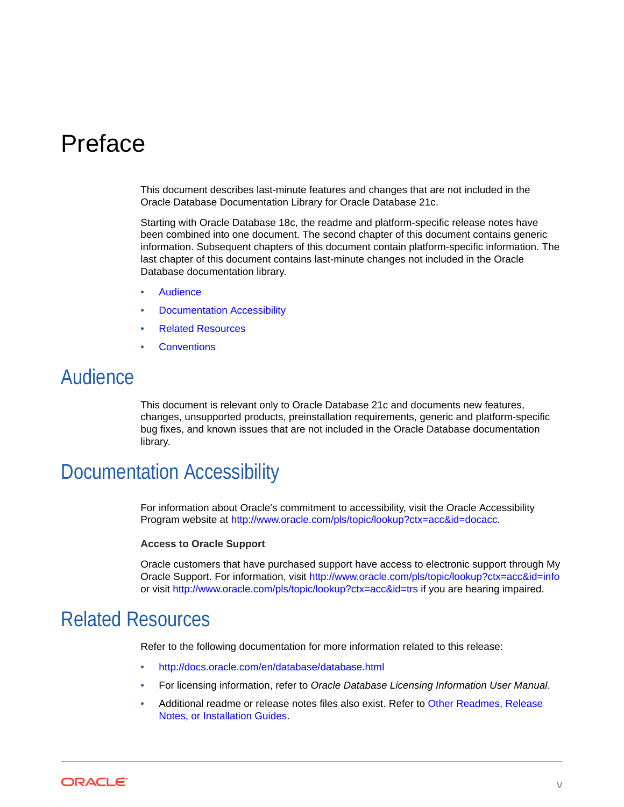# <span id="page-4-0"></span>Preface

This document describes last-minute features and changes that are not included in the Oracle Database Documentation Library for Oracle Database 21c.

Starting with Oracle Database 18c, the readme and platform-specific release notes have been combined into one document. The second chapter of this document contains generic information. Subsequent chapters of this document contain platform-specific information. The last chapter of this document contains last-minute changes not included in the Oracle Database documentation library.

- **Audience**
- Documentation Accessibility
- Related Resources
- **[Conventions](#page-5-0)**

# Audience

This document is relevant only to Oracle Database 21c and documents new features, changes, unsupported products, preinstallation requirements, generic and platform-specific bug fixes, and known issues that are not included in the Oracle Database documentation library.

# Documentation Accessibility

For information about Oracle's commitment to accessibility, visit the Oracle Accessibility Program website at <http://www.oracle.com/pls/topic/lookup?ctx=acc&id=docacc>.

#### **Access to Oracle Support**

Oracle customers that have purchased support have access to electronic support through My Oracle Support. For information, visit <http://www.oracle.com/pls/topic/lookup?ctx=acc&id=info> or visit <http://www.oracle.com/pls/topic/lookup?ctx=acc&id=trs> if you are hearing impaired.

## Related Resources

Refer to the following documentation for more information related to this release:

- <http://docs.oracle.com/en/database/database.html>
- For licensing information, refer to *Oracle Database Licensing Information User Manual*.
- Additional readme or release notes files also exist. Refer to [Other Readmes, Release](#page-7-0) [Notes, or Installation Guides.](#page-7-0)

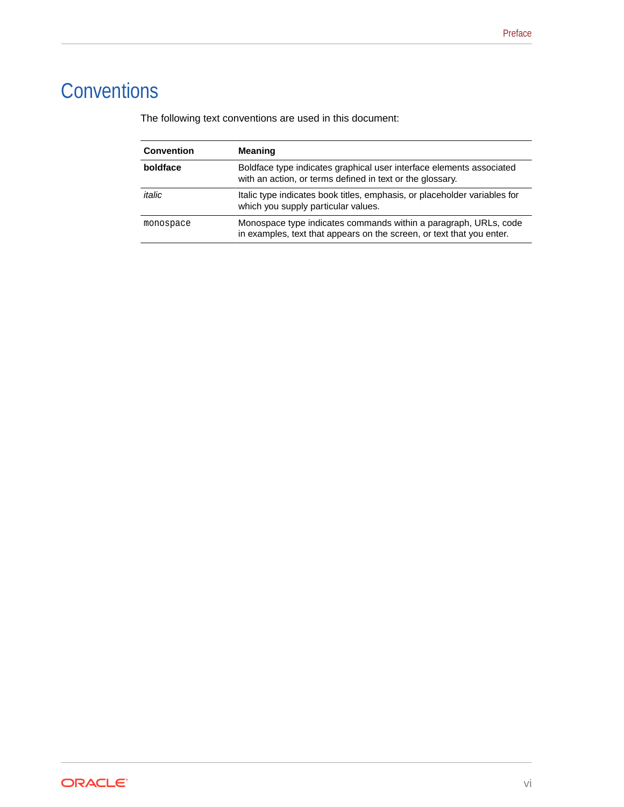# <span id="page-5-0"></span>**Conventions**

The following text conventions are used in this document:

| <b>Convention</b> | <b>Meaning</b>                                                                                                                            |
|-------------------|-------------------------------------------------------------------------------------------------------------------------------------------|
| boldface          | Boldface type indicates graphical user interface elements associated<br>with an action, or terms defined in text or the glossary.         |
| italic            | Italic type indicates book titles, emphasis, or placeholder variables for<br>which you supply particular values.                          |
| monospace         | Monospace type indicates commands within a paragraph, URLs, code<br>in examples, text that appears on the screen, or text that you enter. |

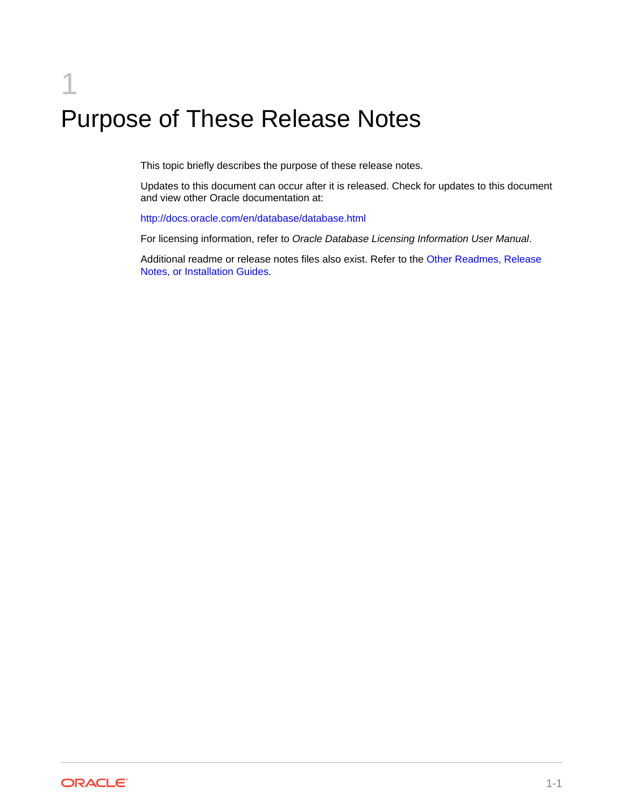# <span id="page-6-0"></span>1 Purpose of These Release Notes

This topic briefly describes the purpose of these release notes.

Updates to this document can occur after it is released. Check for updates to this document and view other Oracle documentation at:

<http://docs.oracle.com/en/database/database.html>

For licensing information, refer to *Oracle Database Licensing Information User Manual*.

Additional readme or release notes files also exist. Refer to the [Other Readmes, Release](#page-7-0) [Notes, or Installation Guides.](#page-7-0)

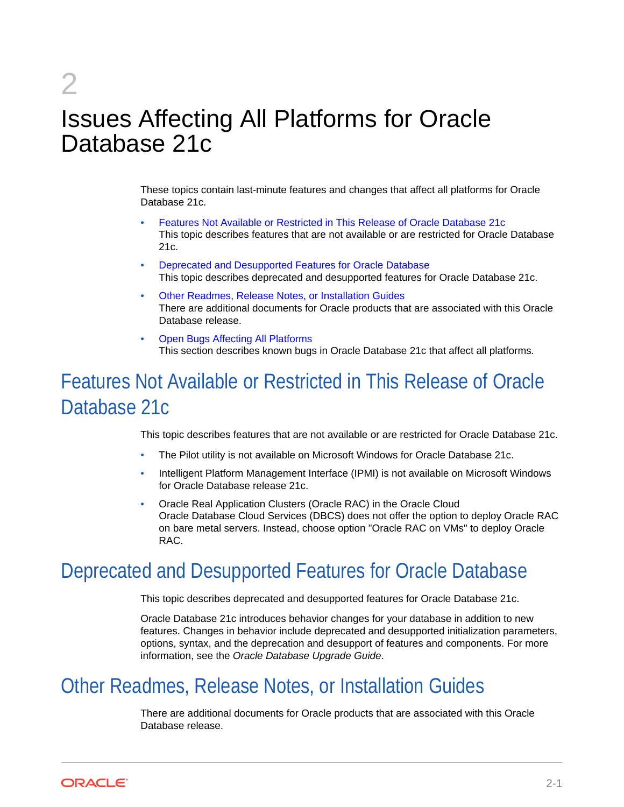# Issues Affecting All Platforms for Oracle Database 21c

These topics contain last-minute features and changes that affect all platforms for Oracle Database 21c.

- Features Not Available or Restricted in This Release of Oracle Database 21c This topic describes features that are not available or are restricted for Oracle Database 21c.
- Deprecated and Desupported Features for Oracle Database This topic describes deprecated and desupported features for Oracle Database 21c.
- Other Readmes, Release Notes, or Installation Guides There are additional documents for Oracle products that are associated with this Oracle Database release.
- [Open Bugs Affecting All Platforms](#page-8-0) This section describes known bugs in Oracle Database 21c that affect all platforms.

# Features Not Available or Restricted in This Release of Oracle Database 21c

This topic describes features that are not available or are restricted for Oracle Database 21c.

- The Pilot utility is not available on Microsoft Windows for Oracle Database 21c.
- Intelligent Platform Management Interface (IPMI) is not available on Microsoft Windows for Oracle Database release 21c.
- Oracle Real Application Clusters (Oracle RAC) in the Oracle Cloud Oracle Database Cloud Services (DBCS) does not offer the option to deploy Oracle RAC on bare metal servers. Instead, choose option "Oracle RAC on VMs" to deploy Oracle RAC.

# Deprecated and Desupported Features for Oracle Database

This topic describes deprecated and desupported features for Oracle Database 21c.

Oracle Database 21c introduces behavior changes for your database in addition to new features. Changes in behavior include deprecated and desupported initialization parameters, options, syntax, and the deprecation and desupport of features and components. For more information, see the *Oracle Database Upgrade Guide*.

# Other Readmes, Release Notes, or Installation Guides

There are additional documents for Oracle products that are associated with this Oracle Database release.



<span id="page-7-0"></span>2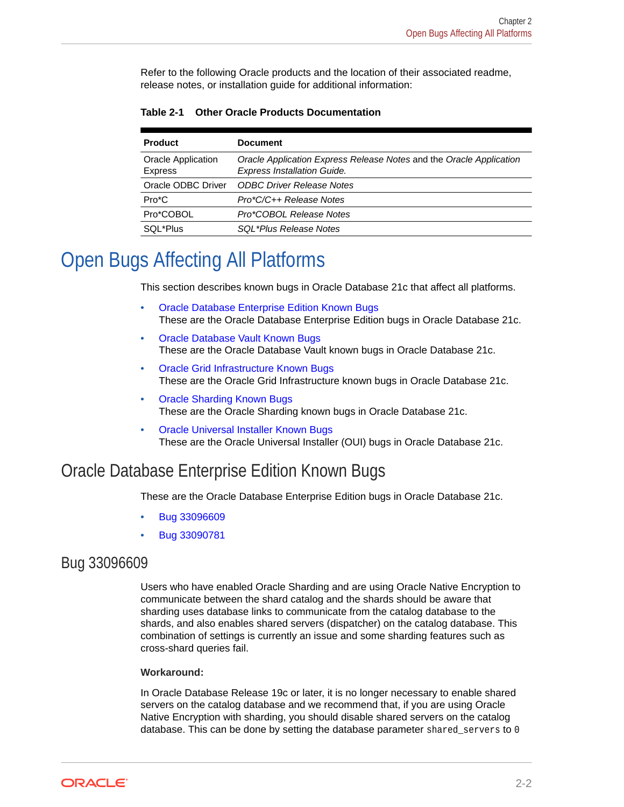<span id="page-8-0"></span>Refer to the following Oracle products and the location of their associated readme, release notes, or installation guide for additional information:

| <b>Product</b>                       | <b>Document</b>                                                                                           |
|--------------------------------------|-----------------------------------------------------------------------------------------------------------|
| <b>Oracle Application</b><br>Express | Oracle Application Express Release Notes and the Oracle Application<br><b>Express Installation Guide.</b> |
| Oracle ODBC Driver                   | <b>ODBC Driver Release Notes</b>                                                                          |
| $Pro*C$                              | Pro*C/C++ Release Notes                                                                                   |
| Pro*COBOL                            | Pro*COBOL Release Notes                                                                                   |
| SQL*Plus                             | SQL*Plus Release Notes                                                                                    |

#### **Table 2-1 Other Oracle Products Documentation**

# Open Bugs Affecting All Platforms

This section describes known bugs in Oracle Database 21c that affect all platforms.

- Oracle Database Enterprise Edition Known Bugs These are the Oracle Database Enterprise Edition bugs in Oracle Database 21c.
- [Oracle Database Vault Known Bugs](#page-9-0) These are the Oracle Database Vault known bugs in Oracle Database 21c.
- [Oracle Grid Infrastructure Known Bugs](#page-9-0) These are the Oracle Grid Infrastructure known bugs in Oracle Database 21c.
- [Oracle Sharding Known Bugs](#page-10-0) These are the Oracle Sharding known bugs in Oracle Database 21c.
- [Oracle Universal Installer Known Bugs](#page-10-0) These are the Oracle Universal Installer (OUI) bugs in Oracle Database 21c.

## Oracle Database Enterprise Edition Known Bugs

These are the Oracle Database Enterprise Edition bugs in Oracle Database 21c.

- Bug 33096609
- [Bug 33090781](#page-9-0)

### Bug 33096609

Users who have enabled Oracle Sharding and are using Oracle Native Encryption to communicate between the shard catalog and the shards should be aware that sharding uses database links to communicate from the catalog database to the shards, and also enables shared servers (dispatcher) on the catalog database. This combination of settings is currently an issue and some sharding features such as cross-shard queries fail.

#### **Workaround:**

In Oracle Database Release 19c or later, it is no longer necessary to enable shared servers on the catalog database and we recommend that, if you are using Oracle Native Encryption with sharding, you should disable shared servers on the catalog database. This can be done by setting the database parameter shared servers to  $0$ 

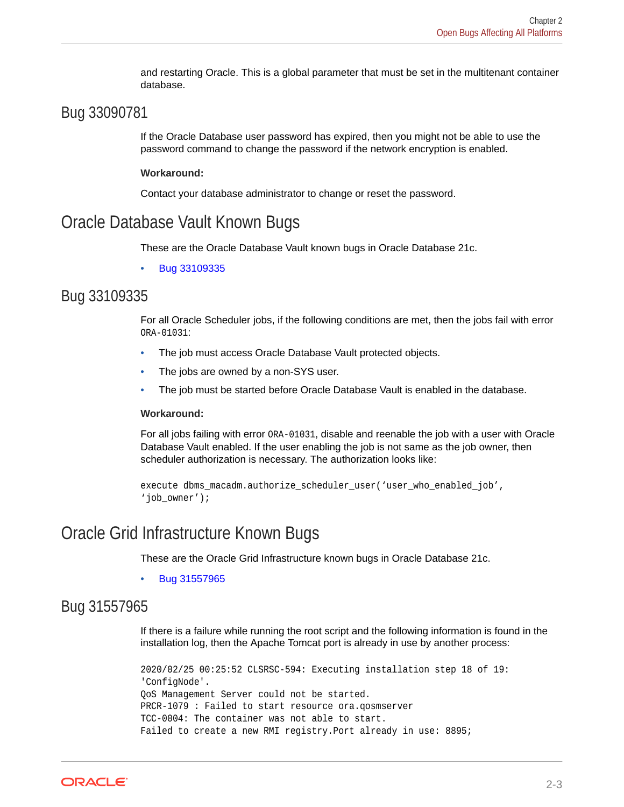and restarting Oracle. This is a global parameter that must be set in the multitenant container database.

### <span id="page-9-0"></span>Bug 33090781

If the Oracle Database user password has expired, then you might not be able to use the password command to change the password if the network encryption is enabled.

#### **Workaround:**

Contact your database administrator to change or reset the password.

### Oracle Database Vault Known Bugs

These are the Oracle Database Vault known bugs in Oracle Database 21c.

• Bug 33109335

### Bug 33109335

For all Oracle Scheduler jobs, if the following conditions are met, then the jobs fail with error ORA-01031:

- The job must access Oracle Database Vault protected objects.
- The jobs are owned by a non-SYS user.
- The job must be started before Oracle Database Vault is enabled in the database.

#### **Workaround:**

For all jobs failing with error ORA-01031, disable and reenable the job with a user with Oracle Database Vault enabled. If the user enabling the job is not same as the job owner, then scheduler authorization is necessary. The authorization looks like:

```
execute dbms_macadm.authorize_scheduler_user('user_who_enabled_job', 
'job_owner');
```
## Oracle Grid Infrastructure Known Bugs

These are the Oracle Grid Infrastructure known bugs in Oracle Database 21c.

• Bug 31557965

### Bug 31557965

If there is a failure while running the root script and the following information is found in the installation log, then the Apache Tomcat port is already in use by another process:

```
2020/02/25 00:25:52 CLSRSC-594: Executing installation step 18 of 19: 
'ConfigNode'.
QoS Management Server could not be started.
PRCR-1079 : Failed to start resource ora.qosmserver
TCC-0004: The container was not able to start.
Failed to create a new RMI registry.Port already in use: 8895;
```
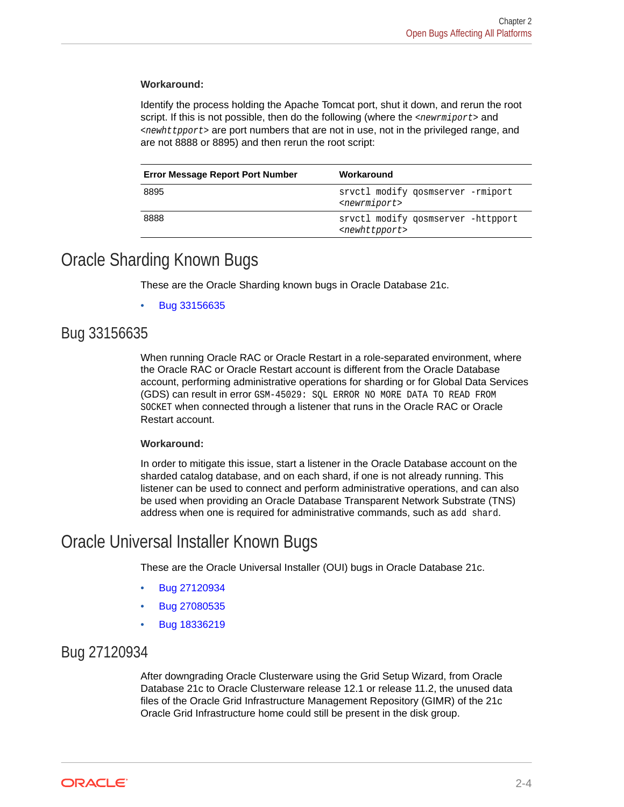#### <span id="page-10-0"></span>**Workaround:**

Identify the process holding the Apache Tomcat port, shut it down, and rerun the root script. If this is not possible, then do the following (where the <newrmiport> and <newhttpport> are port numbers that are not in use, not in the privileged range, and are not 8888 or 8895) and then rerun the root script:

| <b>Error Message Report Port Number</b> | Workaround                                                        |
|-----------------------------------------|-------------------------------------------------------------------|
| 8895                                    | srvctl modify gosmserver -rmiport<br><newrmiport></newrmiport>    |
| 8888                                    | sryctl modify gosmserver -httpport<br><newhttpport></newhttpport> |

### Oracle Sharding Known Bugs

These are the Oracle Sharding known bugs in Oracle Database 21c.

• Bug 33156635

### Bug 33156635

When running Oracle RAC or Oracle Restart in a role-separated environment, where the Oracle RAC or Oracle Restart account is different from the Oracle Database account, performing administrative operations for sharding or for Global Data Services (GDS) can result in error GSM-45029: SQL ERROR NO MORE DATA TO READ FROM SOCKET when connected through a listener that runs in the Oracle RAC or Oracle Restart account.

#### **Workaround:**

In order to mitigate this issue, start a listener in the Oracle Database account on the sharded catalog database, and on each shard, if one is not already running. This listener can be used to connect and perform administrative operations, and can also be used when providing an Oracle Database Transparent Network Substrate (TNS) address when one is required for administrative commands, such as add shard.

# Oracle Universal Installer Known Bugs

These are the Oracle Universal Installer (OUI) bugs in Oracle Database 21c.

- Bug 27120934
- [Bug 27080535](#page-11-0)
- [Bug 18336219](#page-11-0)

### Bug 27120934

After downgrading Oracle Clusterware using the Grid Setup Wizard, from Oracle Database 21c to Oracle Clusterware release 12.1 or release 11.2, the unused data files of the Oracle Grid Infrastructure Management Repository (GIMR) of the 21c Oracle Grid Infrastructure home could still be present in the disk group.

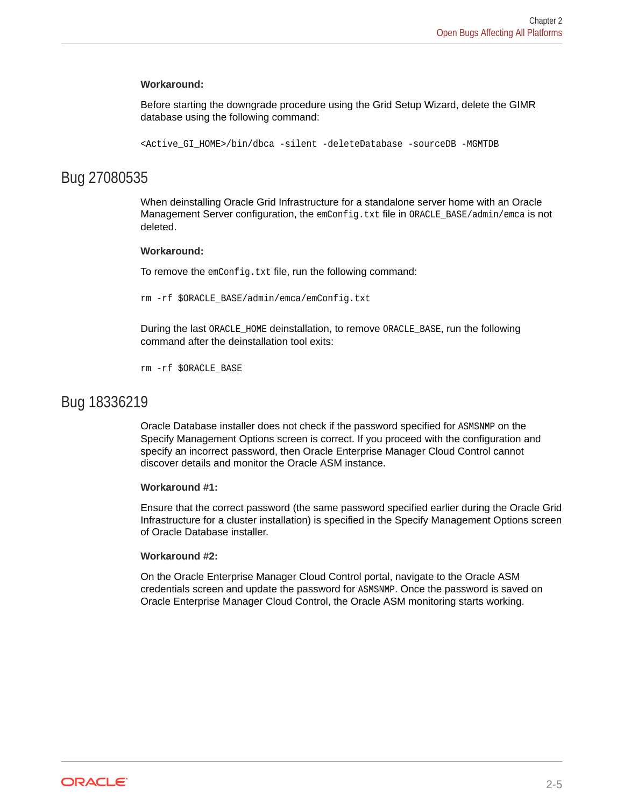#### <span id="page-11-0"></span>**Workaround:**

Before starting the downgrade procedure using the Grid Setup Wizard, delete the GIMR database using the following command:

<Active\_GI\_HOME>/bin/dbca -silent -deleteDatabase -sourceDB -MGMTDB

### Bug 27080535

When deinstalling Oracle Grid Infrastructure for a standalone server home with an Oracle Management Server configuration, the emConfig.txt file in ORACLE\_BASE/admin/emca is not deleted.

#### **Workaround:**

To remove the emConfig.txt file, run the following command:

rm -rf \$ORACLE\_BASE/admin/emca/emConfig.txt

During the last ORACLE\_HOME deinstallation, to remove ORACLE\_BASE, run the following command after the deinstallation tool exits:

rm -rf \$ORACLE\_BASE

#### Bug 18336219

Oracle Database installer does not check if the password specified for ASMSNMP on the Specify Management Options screen is correct. If you proceed with the configuration and specify an incorrect password, then Oracle Enterprise Manager Cloud Control cannot discover details and monitor the Oracle ASM instance.

#### **Workaround #1:**

Ensure that the correct password (the same password specified earlier during the Oracle Grid Infrastructure for a cluster installation) is specified in the Specify Management Options screen of Oracle Database installer.

#### **Workaround #2:**

On the Oracle Enterprise Manager Cloud Control portal, navigate to the Oracle ASM credentials screen and update the password for ASMSNMP. Once the password is saved on Oracle Enterprise Manager Cloud Control, the Oracle ASM monitoring starts working.

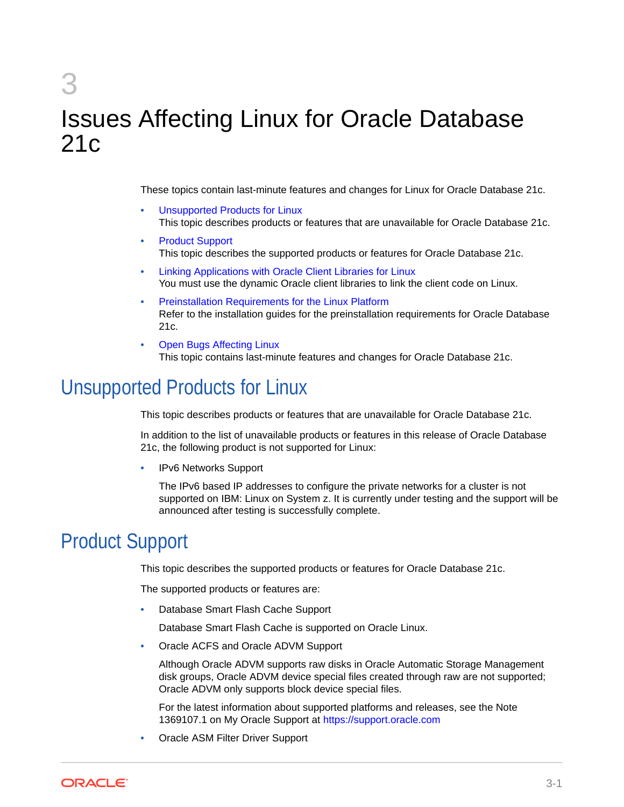# <span id="page-12-0"></span>3 Issues Affecting Linux for Oracle Database 21c

These topics contain last-minute features and changes for Linux for Oracle Database 21c.

- Unsupported Products for Linux This topic describes products or features that are unavailable for Oracle Database 21c.
- Product Support This topic describes the supported products or features for Oracle Database 21c.
- [Linking Applications with Oracle Client Libraries for Linux](#page-13-0) You must use the dynamic Oracle client libraries to link the client code on Linux.
- [Preinstallation Requirements for the Linux Platform](#page-13-0) Refer to the installation guides for the preinstallation requirements for Oracle Database 21c.
- **[Open Bugs Affecting Linux](#page-13-0)** This topic contains last-minute features and changes for Oracle Database 21c.

# Unsupported Products for Linux

This topic describes products or features that are unavailable for Oracle Database 21c.

In addition to the list of unavailable products or features in this release of Oracle Database 21c, the following product is not supported for Linux:

• IPv6 Networks Support

The IPv6 based IP addresses to configure the private networks for a cluster is not supported on IBM: Linux on System z. It is currently under testing and the support will be announced after testing is successfully complete.

# Product Support

This topic describes the supported products or features for Oracle Database 21c.

The supported products or features are:

• Database Smart Flash Cache Support

Database Smart Flash Cache is supported on Oracle Linux.

• Oracle ACFS and Oracle ADVM Support

Although Oracle ADVM supports raw disks in Oracle Automatic Storage Management disk groups, Oracle ADVM device special files created through raw are not supported; Oracle ADVM only supports block device special files.

For the latest information about supported platforms and releases, see the Note 1369107.1 on My Oracle Support at [https://support.oracle.com](https://support.oracle.com/)

• Oracle ASM Filter Driver Support

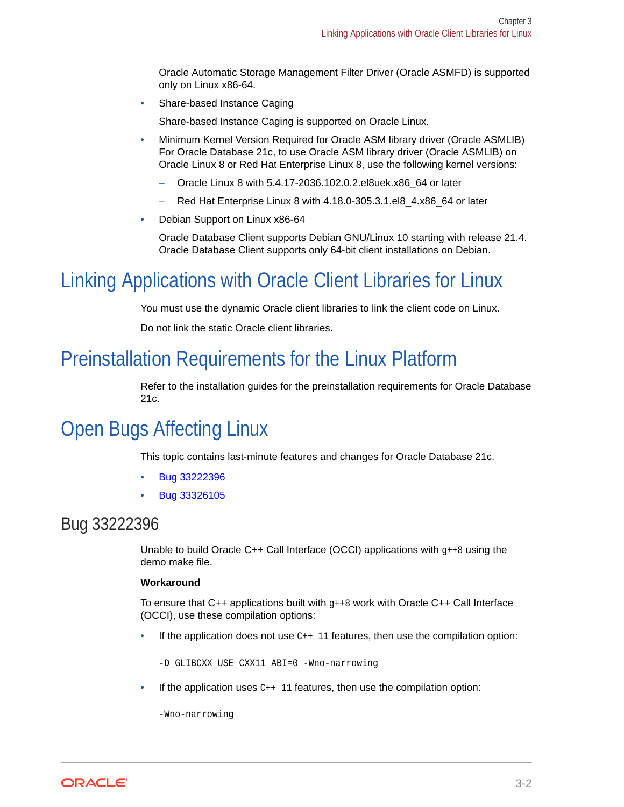Oracle Automatic Storage Management Filter Driver (Oracle ASMFD) is supported only on Linux x86-64.

<span id="page-13-0"></span>• Share-based Instance Caging

Share-based Instance Caging is supported on Oracle Linux.

- Minimum Kernel Version Required for Oracle ASM library driver (Oracle ASMLIB) For Oracle Database 21c, to use Oracle ASM library driver (Oracle ASMLIB) on Oracle Linux 8 or Red Hat Enterprise Linux 8, use the following kernel versions:
	- Oracle Linux 8 with 5.4.17-2036.102.0.2.el8uek.x86\_64 or later
	- Red Hat Enterprise Linux 8 with 4.18.0-305.3.1.el8\_4.x86\_64 or later
- Debian Support on Linux x86-64

Oracle Database Client supports Debian GNU/Linux 10 starting with release 21.4. Oracle Database Client supports only 64-bit client installations on Debian.

# Linking Applications with Oracle Client Libraries for Linux

You must use the dynamic Oracle client libraries to link the client code on Linux.

Do not link the static Oracle client libraries.

# Preinstallation Requirements for the Linux Platform

Refer to the installation guides for the preinstallation requirements for Oracle Database 21c.

# Open Bugs Affecting Linux

This topic contains last-minute features and changes for Oracle Database 21c.

- Bug 33222396
- [Bug 33326105](#page-14-0)

## Bug 33222396

Unable to build Oracle  $C++$  Call Interface (OCCI) applications with  $g++8$  using the demo make file.

#### **Workaround**

To ensure that  $C++$  applications built with  $g++8$  work with Oracle  $C++$  Call Interface (OCCI), use these compilation options:

If the application does not use  $C_{++}$  11 features, then use the compilation option:

-D\_GLIBCXX\_USE\_CXX11\_ABI=0 -Wno-narrowing

If the application uses  $C_{++}$  11 features, then use the compilation option:

-Wno-narrowing

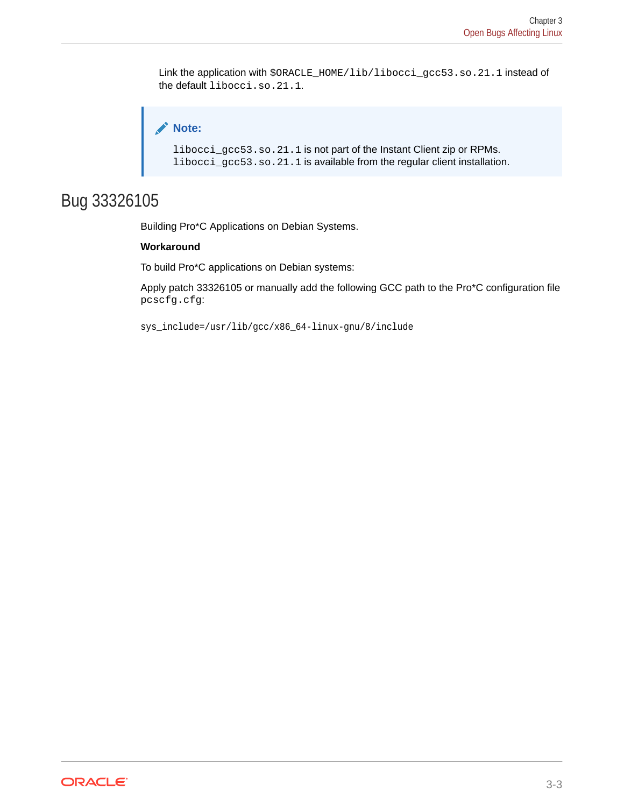<span id="page-14-0"></span>Link the application with \$ORACLE\_HOME/lib/libocci\_gcc53.so.21.1 instead of the default libocci.so.21.1.

```
Note:
libocci_gcc53.so.21.1 is not part of the Instant Client zip or RPMs.
libocci_gcc53.so.21.1 is available from the regular client installation.
```
# Bug 33326105

Building Pro\*C Applications on Debian Systems.

#### **Workaround**

To build Pro\*C applications on Debian systems:

Apply patch 33326105 or manually add the following GCC path to the Pro\*C configuration file pcscfg.cfg:

sys\_include=/usr/lib/gcc/x86\_64-linux-gnu/8/include

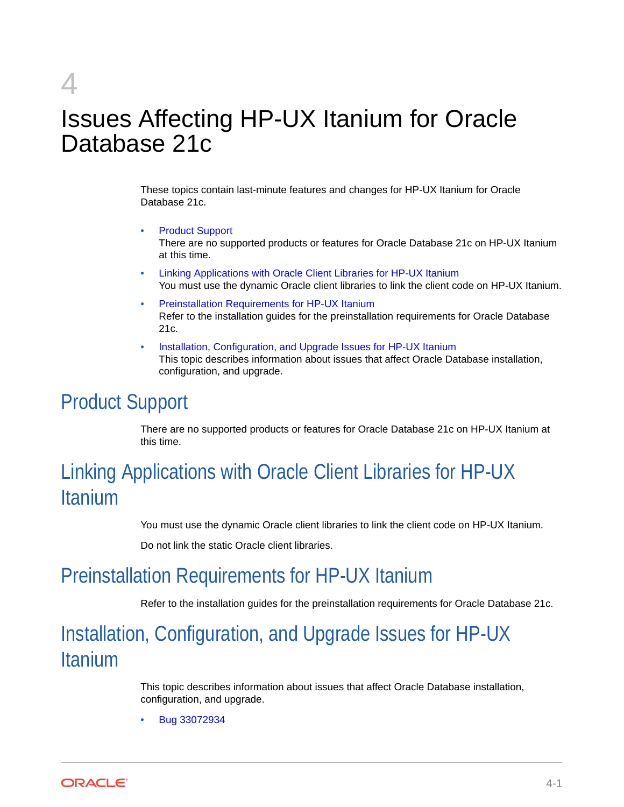# <span id="page-15-0"></span>4

# Issues Affecting HP-UX Itanium for Oracle Database 21c

These topics contain last-minute features and changes for HP-UX Itanium for Oracle Database 21c.

- Product Support There are no supported products or features for Oracle Database 21c on HP-UX Itanium at this time.
- Linking Applications with Oracle Client Libraries for HP-UX Itanium You must use the dynamic Oracle client libraries to link the client code on HP-UX Itanium.
- Preinstallation Requirements for HP-UX Itanium Refer to the installation guides for the preinstallation requirements for Oracle Database 21c.
- Installation, Configuration, and Upgrade Issues for HP-UX Itanium This topic describes information about issues that affect Oracle Database installation, configuration, and upgrade.

# Product Support

There are no supported products or features for Oracle Database 21c on HP-UX Itanium at this time.

# Linking Applications with Oracle Client Libraries for HP-UX Itanium

You must use the dynamic Oracle client libraries to link the client code on HP-UX Itanium.

Do not link the static Oracle client libraries.

# Preinstallation Requirements for HP-UX Itanium

Refer to the installation guides for the preinstallation requirements for Oracle Database 21c.

# Installation, Configuration, and Upgrade Issues for HP-UX Itanium

This topic describes information about issues that affect Oracle Database installation, configuration, and upgrade.

• [Bug 33072934](#page-16-0)

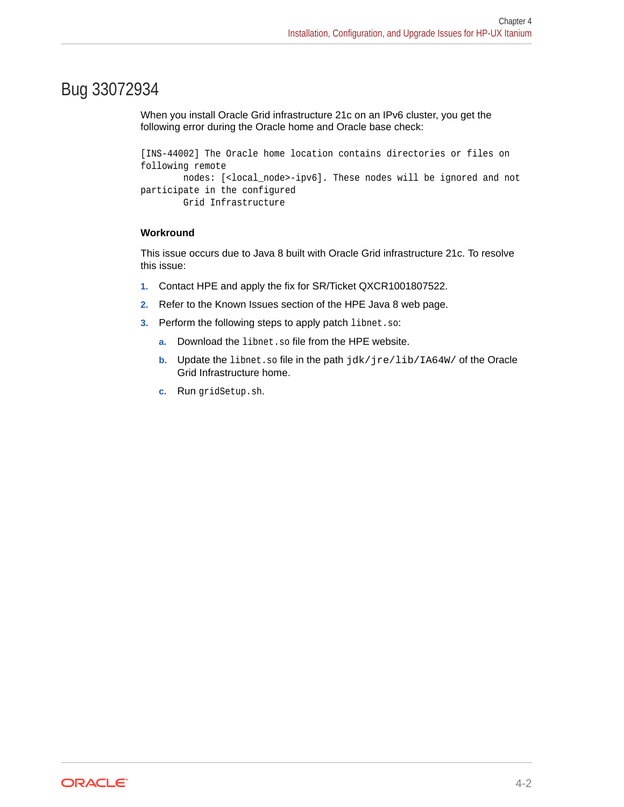### <span id="page-16-0"></span>Bug 33072934

When you install Oracle Grid infrastructure 21c on an IPv6 cluster, you get the following error during the Oracle home and Oracle base check:

```
[INS-44002] The Oracle home location contains directories or files on 
following remote
         nodes: [<local_node>-ipv6]. These nodes will be ignored and not 
participate in the configured
         Grid Infrastructure
```
#### **Workround**

This issue occurs due to Java 8 built with Oracle Grid infrastructure 21c. To resolve this issue:

- **1.** Contact HPE and apply the fix for SR/Ticket QXCR1001807522.
- **2.** Refer to the Known Issues section of the HPE Java 8 web page.
- **3.** Perform the following steps to apply patch libnet.so:
	- **a.** Download the libnet.so file from the HPE website.
	- **b.** Update the libnet.so file in the path jdk/jre/lib/IA64W/ of the Oracle Grid Infrastructure home.
	- **c.** Run gridSetup.sh.

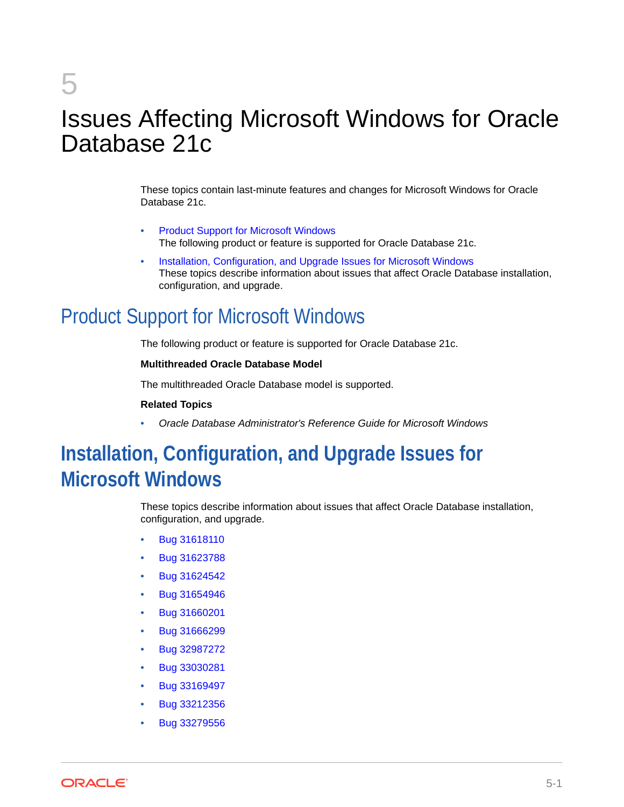# <span id="page-17-0"></span>5

# Issues Affecting Microsoft Windows for Oracle Database 21c

These topics contain last-minute features and changes for Microsoft Windows for Oracle Database 21c.

- Product Support for Microsoft Windows The following product or feature is supported for Oracle Database 21c.
- Installation, Configuration, and Upgrade Issues for Microsoft Windows These topics describe information about issues that affect Oracle Database installation, configuration, and upgrade.

# Product Support for Microsoft Windows

The following product or feature is supported for Oracle Database 21c.

#### **Multithreaded Oracle Database Model**

The multithreaded Oracle Database model is supported.

#### **Related Topics**

• *Oracle Database Administrator's Reference Guide for Microsoft Windows*

# **Installation, Configuration, and Upgrade Issues for Microsoft Windows**

These topics describe information about issues that affect Oracle Database installation, configuration, and upgrade.

- [Bug 31618110](#page-18-0)
- [Bug 31623788](#page-18-0)
- [Bug 31624542](#page-18-0)
- [Bug 31654946](#page-18-0)
- [Bug 31660201](#page-19-0)
- [Bug 31666299](#page-19-0)
- [Bug 32987272](#page-19-0)
- [Bug 33030281](#page-19-0)
- [Bug 33169497](#page-20-0)
- [Bug 33212356](#page-20-0)
- [Bug 33279556](#page-20-0)

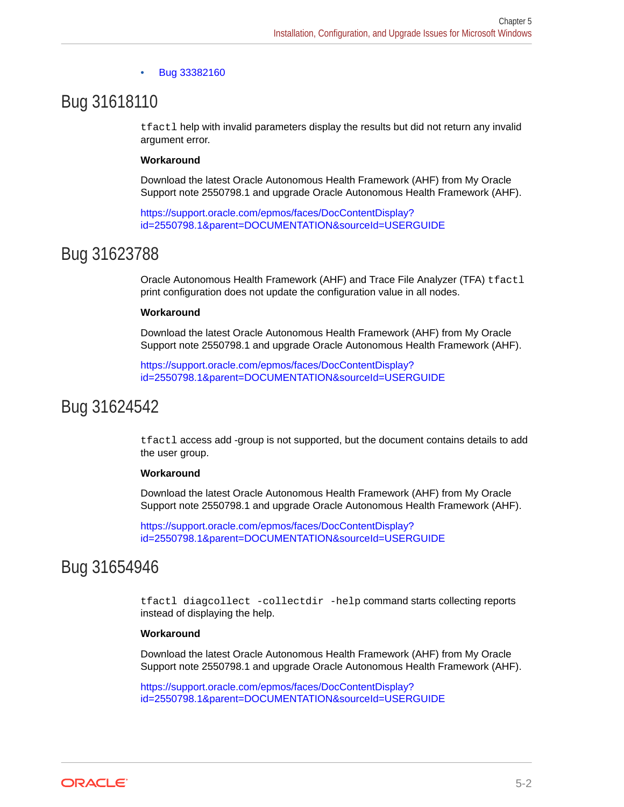#### • [Bug 33382160](#page-21-0)

### <span id="page-18-0"></span>Bug 31618110

tfactl help with invalid parameters display the results but did not return any invalid argument error.

#### **Workaround**

Download the latest Oracle Autonomous Health Framework (AHF) from My Oracle Support note 2550798.1 and upgrade Oracle Autonomous Health Framework (AHF).

[https://support.oracle.com/epmos/faces/DocContentDisplay?](https://support.oracle.com/epmos/faces/DocContentDisplay?id=2550798.1&parent=DOCUMENTATION&sourceId=USERGUIDE) [id=2550798.1&parent=DOCUMENTATION&sourceId=USERGUIDE](https://support.oracle.com/epmos/faces/DocContentDisplay?id=2550798.1&parent=DOCUMENTATION&sourceId=USERGUIDE)

### Bug 31623788

Oracle Autonomous Health Framework (AHF) and Trace File Analyzer (TFA) tfactl print configuration does not update the configuration value in all nodes.

#### **Workaround**

Download the latest Oracle Autonomous Health Framework (AHF) from My Oracle Support note 2550798.1 and upgrade Oracle Autonomous Health Framework (AHF).

[https://support.oracle.com/epmos/faces/DocContentDisplay?](https://support.oracle.com/epmos/faces/DocContentDisplay?id=2550798.1&parent=DOCUMENTATION&sourceId=USERGUIDE) [id=2550798.1&parent=DOCUMENTATION&sourceId=USERGUIDE](https://support.oracle.com/epmos/faces/DocContentDisplay?id=2550798.1&parent=DOCUMENTATION&sourceId=USERGUIDE)

### Bug 31624542

tfactl access add -group is not supported, but the document contains details to add the user group.

#### **Workaround**

Download the latest Oracle Autonomous Health Framework (AHF) from My Oracle Support note 2550798.1 and upgrade Oracle Autonomous Health Framework (AHF).

[https://support.oracle.com/epmos/faces/DocContentDisplay?](https://support.oracle.com/epmos/faces/DocContentDisplay?id=2550798.1&parent=DOCUMENTATION&sourceId=USERGUIDE) [id=2550798.1&parent=DOCUMENTATION&sourceId=USERGUIDE](https://support.oracle.com/epmos/faces/DocContentDisplay?id=2550798.1&parent=DOCUMENTATION&sourceId=USERGUIDE)

# Bug 31654946

tfactl diagcollect -collectdir -help command starts collecting reports instead of displaying the help.

#### **Workaround**

Download the latest Oracle Autonomous Health Framework (AHF) from My Oracle Support note 2550798.1 and upgrade Oracle Autonomous Health Framework (AHF).

[https://support.oracle.com/epmos/faces/DocContentDisplay?](https://support.oracle.com/epmos/faces/DocContentDisplay?id=2550798.1&parent=DOCUMENTATION&sourceId=USERGUIDE) [id=2550798.1&parent=DOCUMENTATION&sourceId=USERGUIDE](https://support.oracle.com/epmos/faces/DocContentDisplay?id=2550798.1&parent=DOCUMENTATION&sourceId=USERGUIDE)

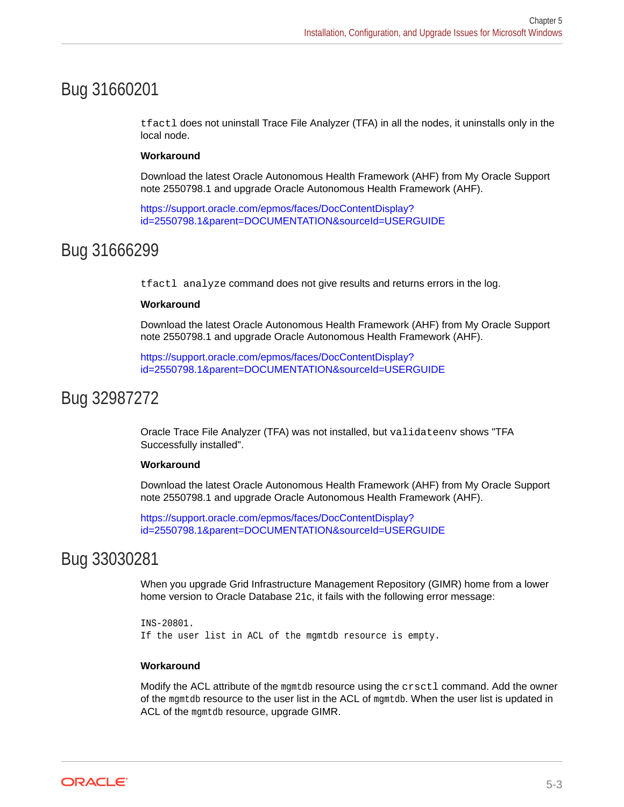# <span id="page-19-0"></span>Bug 31660201

tfactl does not uninstall Trace File Analyzer (TFA) in all the nodes, it uninstalls only in the local node.

#### **Workaround**

Download the latest Oracle Autonomous Health Framework (AHF) from My Oracle Support note 2550798.1 and upgrade Oracle Autonomous Health Framework (AHF).

[https://support.oracle.com/epmos/faces/DocContentDisplay?](https://support.oracle.com/epmos/faces/DocContentDisplay?id=2550798.1&parent=DOCUMENTATION&sourceId=USERGUIDE) [id=2550798.1&parent=DOCUMENTATION&sourceId=USERGUIDE](https://support.oracle.com/epmos/faces/DocContentDisplay?id=2550798.1&parent=DOCUMENTATION&sourceId=USERGUIDE)

### Bug 31666299

tfactl analyze command does not give results and returns errors in the log.

#### **Workaround**

Download the latest Oracle Autonomous Health Framework (AHF) from My Oracle Support note 2550798.1 and upgrade Oracle Autonomous Health Framework (AHF).

[https://support.oracle.com/epmos/faces/DocContentDisplay?](https://support.oracle.com/epmos/faces/DocContentDisplay?id=2550798.1&parent=DOCUMENTATION&sourceId=USERGUIDE) [id=2550798.1&parent=DOCUMENTATION&sourceId=USERGUIDE](https://support.oracle.com/epmos/faces/DocContentDisplay?id=2550798.1&parent=DOCUMENTATION&sourceId=USERGUIDE)

### Bug 32987272

Oracle Trace File Analyzer (TFA) was not installed, but validateenv shows "TFA Successfully installed".

#### **Workaround**

Download the latest Oracle Autonomous Health Framework (AHF) from My Oracle Support note 2550798.1 and upgrade Oracle Autonomous Health Framework (AHF).

[https://support.oracle.com/epmos/faces/DocContentDisplay?](https://support.oracle.com/epmos/faces/DocContentDisplay?id=2550798.1&parent=DOCUMENTATION&sourceId=USERGUIDE) [id=2550798.1&parent=DOCUMENTATION&sourceId=USERGUIDE](https://support.oracle.com/epmos/faces/DocContentDisplay?id=2550798.1&parent=DOCUMENTATION&sourceId=USERGUIDE)

### Bug 33030281

When you upgrade Grid Infrastructure Management Repository (GIMR) home from a lower home version to Oracle Database 21c, it fails with the following error message:

```
INS-20801.
If the user list in ACL of the mgmtdb resource is empty.
```
#### **Workaround**

Modify the ACL attribute of the mgmtdb resource using the crsctl command. Add the owner of the mgmtdb resource to the user list in the ACL of mgmtdb. When the user list is updated in ACL of the mgmtdb resource, upgrade GIMR.

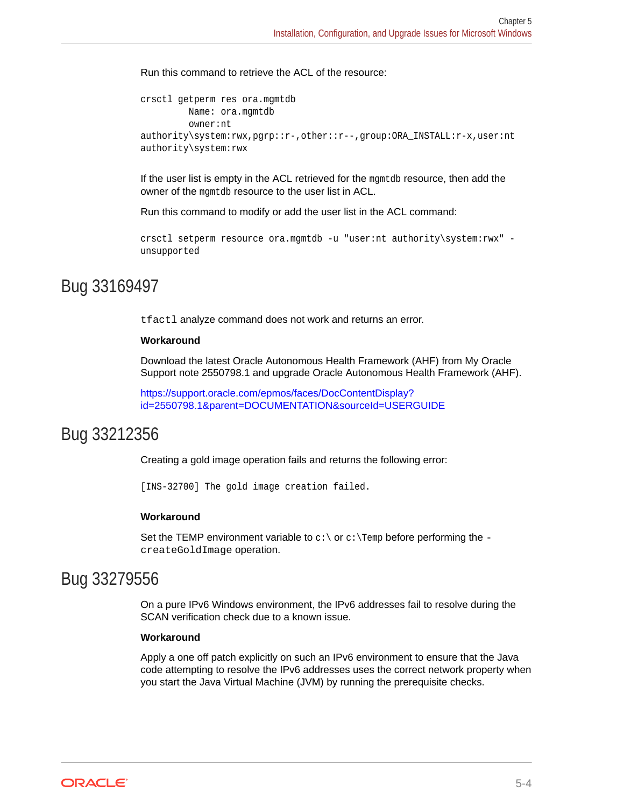<span id="page-20-0"></span>Run this command to retrieve the ACL of the resource:

```
crsctl getperm res ora.mgmtdb
          Name: ora.mgmtdb
          owner:nt 
authority\system:rwx,pgrp::r-,other::r--,group:ORA_INSTALL:r-x,user:nt 
authority\system:rwx
```
If the user list is empty in the ACL retrieved for the mgmtdb resource, then add the owner of the mgmtdb resource to the user list in ACL.

Run this command to modify or add the user list in the ACL command:

```
crsctl setperm resource ora.mgmtdb -u "user:nt authority\system:rwx" -
unsupported
```
### Bug 33169497

tfactl analyze command does not work and returns an error.

#### **Workaround**

Download the latest Oracle Autonomous Health Framework (AHF) from My Oracle Support note 2550798.1 and upgrade Oracle Autonomous Health Framework (AHF).

[https://support.oracle.com/epmos/faces/DocContentDisplay?](https://support.oracle.com/epmos/faces/DocContentDisplay?id=2550798.1&parent=DOCUMENTATION&sourceId=USERGUIDE) [id=2550798.1&parent=DOCUMENTATION&sourceId=USERGUIDE](https://support.oracle.com/epmos/faces/DocContentDisplay?id=2550798.1&parent=DOCUMENTATION&sourceId=USERGUIDE)

### Bug 33212356

Creating a gold image operation fails and returns the following error:

[INS-32700] The gold image creation failed.

#### **Workaround**

Set the TEMP environment variable to  $c:\$  or  $c:\$  Temp before performing the createGoldImage operation.

### Bug 33279556

On a pure IPv6 Windows environment, the IPv6 addresses fail to resolve during the SCAN verification check due to a known issue.

#### **Workaround**

Apply a one off patch explicitly on such an IPv6 environment to ensure that the Java code attempting to resolve the IPv6 addresses uses the correct network property when you start the Java Virtual Machine (JVM) by running the prerequisite checks.